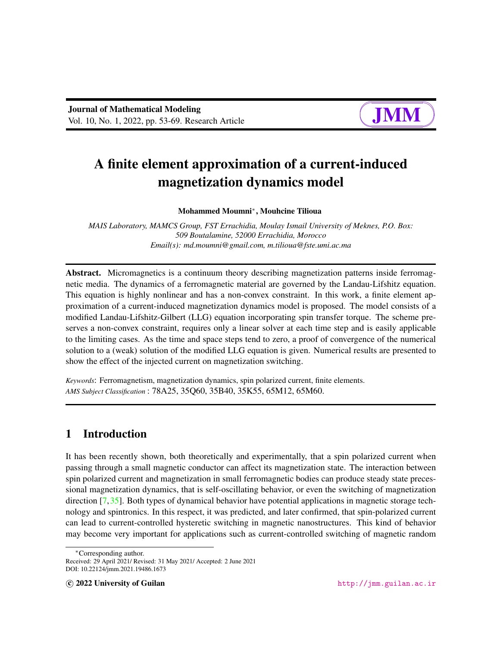# A finite element approximation of a current-induced magnetization dynamics model

Mohammed Moumni<sup>∗</sup> , Mouhcine Tilioua

*MAIS Laboratory, MAMCS Group, FST Errachidia, Moulay Ismail University of Meknes, P.O. Box: 509 Boutalamine, 52000 Errachidia, Morocco Email(s): md.moumni@gmail.com, m.tilioua@fste.umi.ac.ma*

Abstract. Micromagnetics is a continuum theory describing magnetization patterns inside ferromagnetic media. The dynamics of a ferromagnetic material are governed by the Landau-Lifshitz equation. This equation is highly nonlinear and has a non-convex constraint. In this work, a finite element approximation of a current-induced magnetization dynamics model is proposed. The model consists of a modified Landau-Lifshitz-Gilbert (LLG) equation incorporating spin transfer torque. The scheme preserves a non-convex constraint, requires only a linear solver at each time step and is easily applicable to the limiting cases. As the time and space steps tend to zero, a proof of convergence of the numerical solution to a (weak) solution of the modified LLG equation is given. Numerical results are presented to show the effect of the injected current on magnetization switching.

*Keywords*: Ferromagnetism, magnetization dynamics, spin polarized current, finite elements. *AMS Subject Classification* : 78A25, 35Q60, 35B40, 35K55, 65M12, 65M60.

## 1 Introduction

It has been recently shown, both theoretically and experimentally, that a spin polarized current when passing through a small magnetic conductor can affect its magnetization state. The interaction between spin polarized current and magnetization in small ferromagnetic bodies can produce steady state precessional magnetization dynamics, that is self-oscillating behavior, or even the switching of magnetization direction [\[7,](#page-14-0)[35\]](#page-16-0). Both types of dynamical behavior have potential applications in magnetic storage technology and spintronics. In this respect, it was predicted, and later confirmed, that spin-polarized current can lead to current-controlled hysteretic switching in magnetic nanostructures. This kind of behavior may become very important for applications such as current-controlled switching of magnetic random

<sup>∗</sup>Corresponding author.

Received: 29 April 2021/ Revised: 31 May 2021/ Accepted: 2 June 2021 DOI: 10.22124/jmm.2021.19486.1673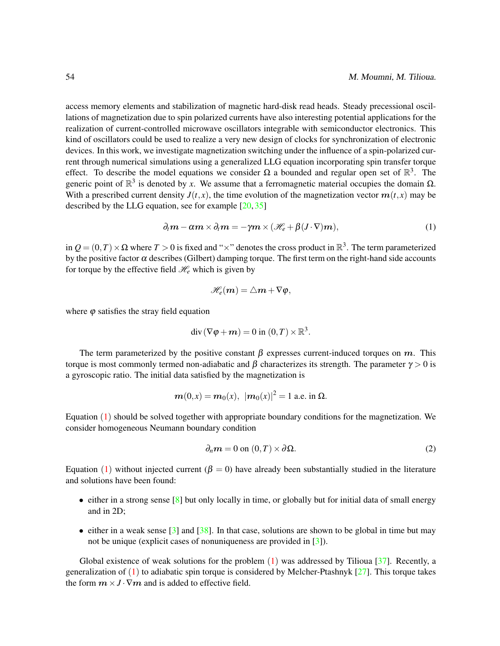access memory elements and stabilization of magnetic hard-disk read heads. Steady precessional oscillations of magnetization due to spin polarized currents have also interesting potential applications for the realization of current-controlled microwave oscillators integrable with semiconductor electronics. This kind of oscillators could be used to realize a very new design of clocks for synchronization of electronic devices. In this work, we investigate magnetization switching under the influence of a spin-polarized current through numerical simulations using a generalized LLG equation incorporating spin transfer torque effect. To describe the model equations we consider  $\Omega$  a bounded and regular open set of  $\mathbb{R}^3$ . The generic point of  $\mathbb{R}^3$  is denoted by *x*. We assume that a ferromagnetic material occupies the domain  $\Omega$ . With a prescribed current density  $J(t, x)$ , the time evolution of the magnetization vector  $m(t, x)$  may be described by the LLG equation, see for example  $[20, 35]$  $[20, 35]$  $[20, 35]$ 

<span id="page-1-0"></span>
$$
\partial_t \mathbf{m} - \alpha \mathbf{m} \times \partial_t \mathbf{m} = -\gamma \mathbf{m} \times (\mathcal{H}_e + \beta (J \cdot \nabla) \mathbf{m}), \tag{1}
$$

in  $Q = (0, T) \times \Omega$  where  $T > 0$  is fixed and " $\times$ " denotes the cross product in  $\mathbb{R}^3$ . The term parameterized by the positive factor  $\alpha$  describes (Gilbert) damping torque. The first term on the right-hand side accounts for torque by the effective field  $\mathcal{H}_e$  which is given by

$$
\mathscr{H}_e(m)=\triangle m+\nabla\varphi,
$$

where  $\varphi$  satisfies the stray field equation

$$
\operatorname{div}(\nabla \varphi + \boldsymbol{m}) = 0 \text{ in } (0,T) \times \mathbb{R}^3.
$$

The term parameterized by the positive constant  $\beta$  expresses current-induced torques on m. This torque is most commonly termed non-adiabatic and β characterizes its strength. The parameter  $\gamma > 0$  is a gyroscopic ratio. The initial data satisfied by the magnetization is

$$
m(0,x) = m_0(x), \ |m_0(x)|^2 = 1
$$
 a.e. in  $\Omega$ .

Equation  $(1)$  $(1)$  $(1)$  should be solved together with appropriate boundary conditions for the magnetization. We consider homogeneous Neumann boundary condition

<span id="page-1-1"></span>
$$
\partial_n \mathbf{m} = 0 \text{ on } (0, T) \times \partial \Omega. \tag{2}
$$

Equation ([1](#page-1-0)) without injected current ( $\beta = 0$ ) have already been substantially studied in the literature and solutions have been found:

- either in a strong sense [\[8\]](#page-14-1) but only locally in time, or globally but for initial data of small energy and in 2D;
- either in a weak sense  $\lceil 3 \rceil$  and  $\lceil 38 \rceil$ . In that case, solutions are shown to be global in time but may not be unique (explicit cases of nonuniqueness are provided in [\[3\]](#page-14-2)).

Global existence of weak solutions for the problem  $(1)$  $(1)$  $(1)$  was addressed by Tilioua [\[37\]](#page-16-2). Recently, a generalization of  $(1)$  $(1)$  $(1)$  to adiabatic spin torque is considered by Melcher-Ptashnyk [\[27\]](#page-15-1). This torque takes the form  $m \times J \cdot \nabla m$  and is added to effective field.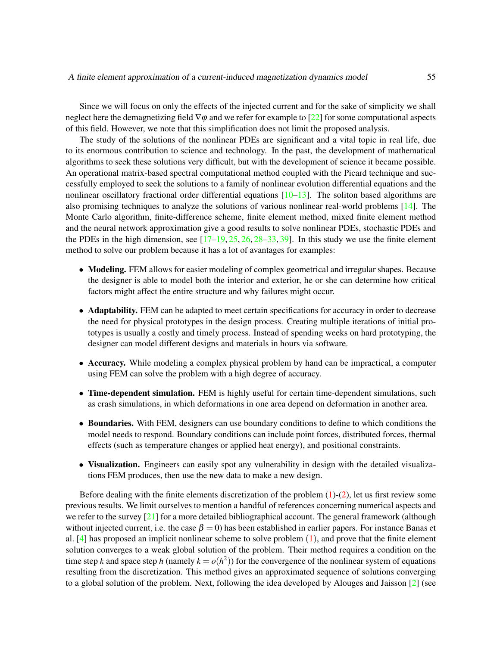Since we will focus on only the effects of the injected current and for the sake of simplicity we shall neglect here the demagnetizing field  $\nabla \varphi$  and we refer for example to [\[22\]](#page-15-2) for some computational aspects of this field. However, we note that this simplification does not limit the proposed analysis.

The study of the solutions of the nonlinear PDEs are significant and a vital topic in real life, due to its enormous contribution to science and technology. In the past, the development of mathematical algorithms to seek these solutions very difficult, but with the development of science it became possible. An operational matrix-based spectral computational method coupled with the Picard technique and successfully employed to seek the solutions to a family of nonlinear evolution differential equations and the nonlinear oscillatory fractional order differential equations  $[10-13]$  $[10-13]$ . The soliton based algorithms are also promising techniques to analyze the solutions of various nonlinear real-world problems [\[14\]](#page-15-4). The Monte Carlo algorithm, finite-difference scheme, finite element method, mixed finite element method and the neural network approximation give a good results to solve nonlinear PDEs, stochastic PDEs and the PDEs in the high dimension, see  $[17–19, 25, 26, 28–33, 39]$  $[17–19, 25, 26, 28–33, 39]$  $[17–19, 25, 26, 28–33, 39]$  $[17–19, 25, 26, 28–33, 39]$  $[17–19, 25, 26, 28–33, 39]$  $[17–19, 25, 26, 28–33, 39]$  $[17–19, 25, 26, 28–33, 39]$  $[17–19, 25, 26, 28–33, 39]$  $[17–19, 25, 26, 28–33, 39]$  $[17–19, 25, 26, 28–33, 39]$  $[17–19, 25, 26, 28–33, 39]$ . In this study we use the finite element method to solve our problem because it has a lot of avantages for examples:

- Modeling. FEM allows for easier modeling of complex geometrical and irregular shapes. Because the designer is able to model both the interior and exterior, he or she can determine how critical factors might affect the entire structure and why failures might occur.
- Adaptability. FEM can be adapted to meet certain specifications for accuracy in order to decrease the need for physical prototypes in the design process. Creating multiple iterations of initial prototypes is usually a costly and timely process. Instead of spending weeks on hard prototyping, the designer can model different designs and materials in hours via software.
- Accuracy. While modeling a complex physical problem by hand can be impractical, a computer using FEM can solve the problem with a high degree of accuracy.
- Time-dependent simulation. FEM is highly useful for certain time-dependent simulations, such as crash simulations, in which deformations in one area depend on deformation in another area.
- Boundaries. With FEM, designers can use boundary conditions to define to which conditions the model needs to respond. Boundary conditions can include point forces, distributed forces, thermal effects (such as temperature changes or applied heat energy), and positional constraints.
- Visualization. Engineers can easily spot any vulnerability in design with the detailed visualizations FEM produces, then use the new data to make a new design.

Before dealing with the finite elements discretization of the problem  $(1)-(2)$  $(1)-(2)$  $(1)-(2)$ , let us first review some previous results. We limit ourselves to mention a handful of references concerning numerical aspects and we refer to the survey [\[21\]](#page-15-9) for a more detailed bibliographical account. The general framework (although without injected current, i.e. the case  $\beta = 0$ ) has been established in earlier papers. For instance Banas et al.  $[4]$  has proposed an implicit nonlinear scheme to solve problem  $(1)$  $(1)$  $(1)$ , and prove that the finite element solution converges to a weak global solution of the problem. Their method requires a condition on the time step *k* and space step *h* (namely  $k = o(h^2)$ ) for the convergence of the nonlinear system of equations resulting from the discretization. This method gives an approximated sequence of solutions converging to a global solution of the problem. Next, following the idea developed by Alouges and Jaisson [\[2\]](#page-14-5) (see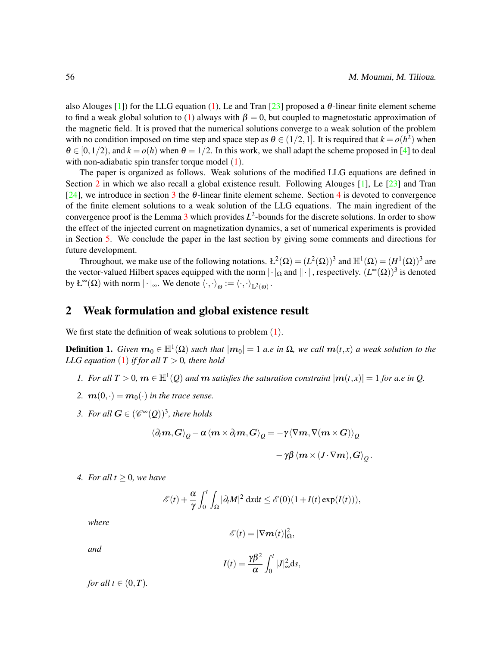also Alouges [\[1\]](#page-14-6)) for the LLG equation [\(1\)](#page-1-0), Le and Tran [\[23\]](#page-15-10) proposed a  $\theta$ -linear finite element scheme to find a weak global solution to [\(1\)](#page-1-0) always with  $\beta = 0$ , but coupled to magnetostatic approximation of the magnetic field. It is proved that the numerical solutions converge to a weak solution of the problem with no condition imposed on time step and space step as  $\theta \in (1/2, 1]$ . It is required that  $k = o(h^2)$  when  $\theta \in [0,1/2)$ , and  $k = o(h)$  when  $\theta = 1/2$ . In this work, we shall adapt the scheme proposed in [\[4\]](#page-14-4) to deal with non-adiabatic spin transfer torque model  $(1)$  $(1)$  $(1)$ .

The paper is organized as follows. Weak solutions of the modified LLG equations are defined in Section [2](#page-3-0) in which we also recall a global existence result. Following Alouges [\[1\]](#page-14-6), Le [\[23\]](#page-15-10) and Tran [\[24\]](#page-15-11), we introduce in section [3](#page-4-0) the  $\theta$ -linear finite element scheme. Section [4](#page-5-0) is devoted to convergence of the finite element solutions to a weak solution of the LLG equations. The main ingredient of the convergence proof is the Lemma  $3$  which provides  $L^2$ -bounds for the discrete solutions. In order to show the effect of the injected current on magnetization dynamics, a set of numerical experiments is provided in Section [5.](#page-10-0) We conclude the paper in the last section by giving some comments and directions for future development.

Throughout, we make use of the following notations.  $L^2(\Omega) = (L^2(\Omega))^3$  and  $\mathbb{H}^1(\Omega) = (H^1(\Omega))^3$  are the vector-valued Hilbert spaces equipped with the norm  $|\cdot|_{\Omega}$  and  $\|\cdot\|$ , respectively.  $(L^{\infty}(\Omega))^3$  is denoted by  $\mathcal{L}^{\infty}(\Omega)$  with norm  $|\cdot|_{\infty}$ . We denote  $\langle \cdot, \cdot \rangle_{\omega} := \langle \cdot, \cdot \rangle_{\mathbb{L}^2(\omega)}$ .

## <span id="page-3-0"></span>2 Weak formulation and global existence result

We first state the definition of weak solutions to problem  $(1)$  $(1)$  $(1)$ .

<span id="page-3-1"></span>**Definition 1.** *Given*  $m_0 \in \mathbb{H}^1(\Omega)$  *such that*  $|m_0| = 1$  *a.e in*  $\Omega$ *, we call*  $m(t,x)$  *a weak solution to the LLG equation* ([1](#page-1-0)) *if for all*  $T > 0$ *, there hold* 

- *1.* For all  $T > 0$ ,  $m \in \mathbb{H}^1(Q)$  and  $m$  satisfies the saturation constraint  $|m(t,x)| = 1$  for a.e in Q.
- 2.  $\mathbf{m}(0, \cdot) = \mathbf{m}_0(\cdot)$  *in the trace sense.*
- 3. For all  $G \in (\mathscr{C}^{\infty}(Q))^3$ , there holds

$$
\begin{array}{c}\left\langle \partial _{t}\bm{m},\bm{G}\right\rangle _{\mathcal{Q}}-\alpha\left\langle \bm{m}\times\partial _{t}\bm{m},\bm{G}\right\rangle _{\mathcal{Q}}=-\gamma\langle \nabla\bm{m},\nabla(\bm{m}\times\bm{G})\right\rangle _{\mathcal{Q}}\\ \\ \hspace{2cm}-\gamma\beta\left\langle \bm{m}\times\left(J\cdot\nabla\bm{m}\right),\bm{G}\right\rangle _{\mathcal{Q}}.\end{array}
$$

*4. For all t* ≥ 0*, we have*

$$
\mathscr{E}(t) + \frac{\alpha}{\gamma} \int_0^t \int_{\Omega} |\partial_t M|^2 \, \mathrm{d}x \mathrm{d}t \leq \mathscr{E}(0) (1 + I(t) \exp(I(t))),
$$

*where*

$$
\mathscr{E}(t)=|\nabla \boldsymbol{m}(t)|_{\Omega}^2,
$$

*and*

$$
I(t) = \frac{\gamma \beta^2}{\alpha} \int_0^t |J|_{\infty}^2 \mathrm{d} s,
$$

*for all*  $t \in (0, T)$ *.*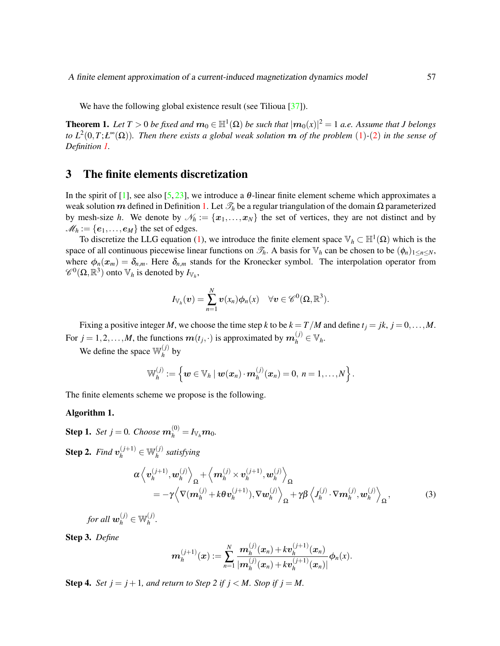A finite element approximation of a current-induced magnetization dynamics model 57

We have the following global existence result (see Tilioua [\[37\]](#page-16-2)).

**Theorem 1.** Let  $T > 0$  be fixed and  $m_0 \in \mathbb{H}^1(\Omega)$  be such that  $|m_0(x)|^2 = 1$  a.e. Assume that J belongs *to L*<sup>2</sup> (0,*T*;*Ł* <sup>∞</sup>(Ω))*. Then there exists a global weak solution* m *of the problem* ([1](#page-1-0))*-*([2](#page-1-1)) *in the sense of Definition [1.](#page-3-1)*

## <span id="page-4-0"></span>3 The finite elements discretization

In the spirit of [\[1\]](#page-14-6), see also [\[5,](#page-14-7) [23\]](#page-15-10), we introduce a  $\theta$ -linear finite element scheme which approximates a weak solution m defined in Definition [1.](#page-3-1) Let  $\mathcal{T}_h$  be a regular triangulation of the domain Ω parameterized by mesh-size *h*. We denote by  $\mathcal{N}_h := \{x_1, \ldots, x_N\}$  the set of vertices, they are not distinct and by  $M_h := \{e_1, \ldots, e_M\}$  the set of edges.

To discretize the LLG equation [\(1\)](#page-1-0), we introduce the finite element space  $\mathbb{V}_h \subset \mathbb{H}^1(\Omega)$  which is the space of all continuous piecewise linear functions on  $\mathcal{T}_h$ . A basis for  $\mathbb{V}_h$  can be chosen to be  $(\phi_n)_{1 \leq n \leq N}$ , where  $\phi_n(x_m) = \delta_{n,m}$ . Here  $\delta_{n,m}$  stands for the Kronecker symbol. The interpolation operator from  $\mathscr{C}^0(\Omega,\mathbb{R}^3)$  onto  $\mathbb{V}_h$  is denoted by  $I_{\mathbb{V}_h}$ ,

$$
I_{\mathbb{V}_h}(\boldsymbol{v})=\sum_{n=1}^N \boldsymbol{v}(x_n)\phi_n(x) \quad \forall \boldsymbol{v} \in \mathscr{C}^0(\Omega,\mathbb{R}^3).
$$

Fixing a positive integer *M*, we choose the time step *k* to be  $k = T/M$  and define  $t<sub>j</sub> = jk$ ,  $j = 0, \ldots, M$ . For  $j = 1, 2, \ldots, M$ , the functions  $\boldsymbol{m}(t_j, \cdot)$  is approximated by  $\boldsymbol{m}_h^{(j)} \in \mathbb{V}_h$ .

We define the space  $\mathbb{W}_{h}^{(j)}$  $h^{\scriptscriptstyle (J)}$  by

$$
\mathbb{W}_h^{(j)} := \left\{ \boldsymbol{w} \in \mathbb{V}_h \mid \boldsymbol{w}(\boldsymbol{x}_n) \cdot \boldsymbol{m}_h^{(j)}(\boldsymbol{x}_n) = 0, \ n = 1, \ldots, N \right\}.
$$

The finite elements scheme we propose is the following.

#### <span id="page-4-2"></span>Algorithm 1.

**Step 1.** *Set j* = 0*. Choose*  $m_h^{(0)} = I_{\mathbb{V}_h} m_0$ *.* 

**Step 2.** *Find*  $\mathbf{v}_h^{(j+1)} \in \mathbb{W}_h^{(j)}$ *h satisfying*

$$
\alpha \left\langle \mathbf{v}_{h}^{(j+1)}, \mathbf{w}_{h}^{(j)} \right\rangle_{\Omega} + \left\langle \mathbf{m}_{h}^{(j)} \times \mathbf{v}_{h}^{(j+1)}, \mathbf{w}_{h}^{(j)} \right\rangle_{\Omega} \n= -\gamma \left\langle \nabla (\mathbf{m}_{h}^{(j)} + k \theta \mathbf{v}_{h}^{(j+1)}), \nabla \mathbf{w}_{h}^{(j)} \right\rangle_{\Omega} + \gamma \beta \left\langle J_{h}^{(j)} \cdot \nabla \mathbf{m}_{h}^{(j)}, \mathbf{w}_{h}^{(j)} \right\rangle_{\Omega},
$$
\n(3)

for all  $\boldsymbol{w}_h^{(j)} \in \mathbb{W}_h^{(j)}$ *h .*

Step 3. *Define*

<span id="page-4-1"></span>
$$
\mathbf{m}_h^{(j+1)}(\mathbf{x}) := \sum_{n=1}^N \frac{\mathbf{m}_h^{(j)}(\mathbf{x}_n) + k \mathbf{v}_h^{(j+1)}(\mathbf{x}_n)}{|\mathbf{m}_h^{(j)}(\mathbf{x}_n) + k \mathbf{v}_h^{(j+1)}(\mathbf{x}_n)|} \phi_n(x).
$$

**Step 4.** *Set j* = *j* + 1*, and return to Step 2 if j < M. Stop if j = M.*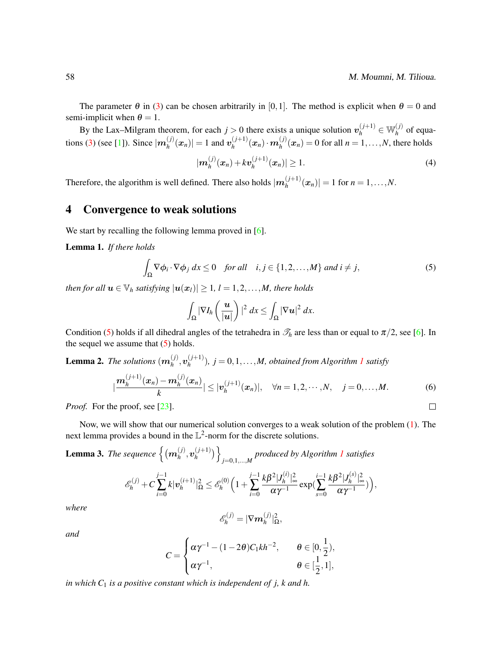$\Box$ 

By the Lax–Milgram theorem, for each  $j > 0$  there exists a unique solution  $v_h^{(j+1)} \in W_h^{(j)}$  $h^{(J)}$  of equa-tions [\(3\)](#page-4-1) (see [\[1\]](#page-14-6)). Since  $|m_h^{(j)}|$  $\binom{(j)}{h}(\bm{x}_n)| = 1$  and  $\bm{v}_h^{(j+1)}$  $\binom{(j+1)}{h}(\boldsymbol{x}_n)\cdot\boldsymbol{m}_h^{(j)}$  $h_h^{(j)}(x_n) = 0$  for all  $n = 1, ..., N$ , there holds

<span id="page-5-3"></span>
$$
|\boldsymbol{m}_h^{(j)}(\boldsymbol{x}_n)+k\boldsymbol{v}_h^{(j+1)}(\boldsymbol{x}_n)|\geq 1.
$$
 (4)

Therefore, the algorithm is well defined. There also holds  $|m_h^{(j+1)}|$  $\left| \frac{(y+1)}{h}(x_n) \right| = 1$  for  $n = 1, ..., N$ .

## <span id="page-5-0"></span>4 Convergence to weak solutions

We start by recalling the following lemma proved in [\[6\]](#page-14-8).

<span id="page-5-4"></span>Lemma 1. *If there holds*

<span id="page-5-2"></span>
$$
\int_{\Omega} \nabla \phi_i \cdot \nabla \phi_j \, dx \le 0 \quad \text{for all} \quad i, j \in \{1, 2, \dots, M\} \text{ and } i \ne j,
$$
\n<sup>(5)</sup>

*then for all*  $u \in V_h$  *satisfying*  $|u(x_l)| \geq 1$ ,  $l = 1, 2, ..., M$ , there holds

$$
\int_{\Omega} |\nabla I_h\left(\frac{u}{|u|}\right)|^2 dx \leq \int_{\Omega} |\nabla u|^2 dx.
$$

Condition [\(5\)](#page-5-2) holds if all dihedral angles of the tetrahedra in  $\mathcal{T}_h$  are less than or equal to  $\pi/2$ , see [\[6\]](#page-14-8). In the sequel we assume that  $(5)$  holds.

<span id="page-5-5"></span>**Lemma 2.** The solutions  $(m_h^{(j)})$  $\boldsymbol{v}_h^{(j)},\boldsymbol{v}_h^{(j+1)}$  $\binom{1}{h}$  $\binom{1}{h}$  $\binom{1}{h}$ ,  $j = 0, 1, \ldots, M$ , obtained from Algorithm 1 satisfy

$$
\left|\frac{\boldsymbol{m}_h^{(j+1)}(\boldsymbol{x}_n)-\boldsymbol{m}_h^{(j)}(\boldsymbol{x}_n)}{k}\right|\leq |\boldsymbol{v}_h^{(j+1)}(\boldsymbol{x}_n)|, \quad \forall n=1,2,\cdots,N, \quad j=0,\ldots,M.
$$
 (6)

*Proof.* For the proof, see [\[23\]](#page-15-10).

Now, we will show that our numerical solution converges to a weak solution of the problem [\(1\)](#page-1-0). The next lemma provides a bound in the  $\mathbb{L}^2$ -norm for the discrete solutions.

<span id="page-5-1"></span>**Lemma 3.** The sequence  $\{(m_h^{(j)})\}$  $\boldsymbol{v}_h^{(j)},\boldsymbol{v}_h^{(j+1)}$  $\binom{(j+1)}{h}$ *j*=0,1,...,*M produced by Algorithm [1](#page-4-2) satisfies*

$$
\mathscr{E}_h^{(j)} + C \sum_{i=0}^{j-1} k |\mathbf{v}_h^{(i+1)}|_{\Omega}^2 \leq \mathscr{E}_h^{(0)} \Big( 1 + \sum_{i=0}^{j-1} \frac{k \beta^2 |J_h^{(i)}|_{\infty}^2}{\alpha \gamma^{-1}} \exp \Big( \sum_{s=0}^{i-1} \frac{k \beta^2 |J_h^{(s)}|_{\infty}^2}{\alpha \gamma^{-1}} \Big) \Big),
$$

*where*

$$
\mathscr{E}_h^{(j)} = |\nabla \boldsymbol{m}_h^{(j)}|_{\Omega}^2,
$$

*and*

$$
C = \begin{cases} \alpha \gamma^{-1} - (1 - 2\theta) C_1 k h^{-2}, & \theta \in [0, \frac{1}{2}), \\ \alpha \gamma^{-1}, & \theta \in [\frac{1}{2}, 1], \end{cases}
$$

*in which C*<sup>1</sup> *is a positive constant which is independent of j, k and h.*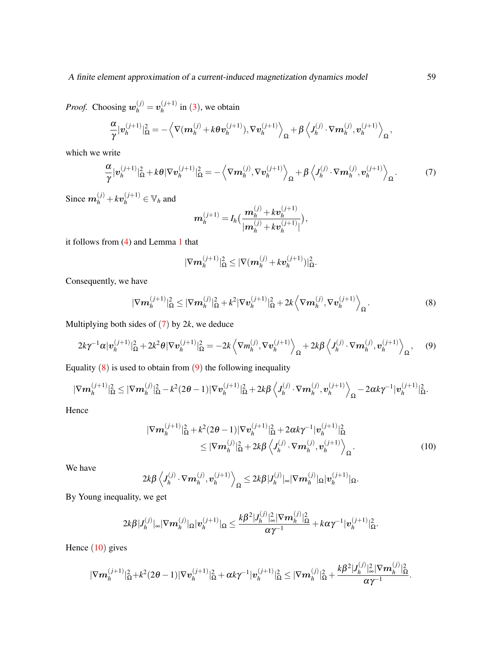*Proof.* Choosing  $w_h^{(j)} = v_h^{(j+1)}$  $\int_h^{(J+1)}$  in ([3](#page-4-1)), we obtain

$$
\frac{\alpha}{\gamma}|\mathbf{v}_h^{(j+1)}|_{\Omega}^2 = -\left\langle \nabla(\mathbf{m}_h^{(j)} + k\theta \mathbf{v}_h^{(j+1)}), \nabla \mathbf{v}_h^{(j+1)} \right\rangle_{\Omega} + \beta \left\langle J_h^{(j)} \cdot \nabla \mathbf{m}_h^{(j)}, \mathbf{v}_h^{(j+1)} \right\rangle_{\Omega}
$$

which we write

<span id="page-6-0"></span>
$$
\frac{\alpha}{\gamma}|\mathbf{v}_h^{(j+1)}|_{\Omega}^2 + k\theta|\nabla \mathbf{v}_h^{(j+1)}|_{\Omega}^2 = -\left\langle \nabla \mathbf{m}_h^{(j)}, \nabla \mathbf{v}_h^{(j+1)} \right\rangle_{\Omega} + \beta \left\langle J_h^{(j)} \cdot \nabla \mathbf{m}_h^{(j)}, \mathbf{v}_h^{(j+1)} \right\rangle_{\Omega}.
$$
 (7)

Since  $m_h^{(j)} + k v_h^{(j+1)} \in V_h$  and

$$
\boldsymbol{m}_h^{(j+1)} = I_h \big( \frac{\boldsymbol{m}_h^{(j)} + k \boldsymbol{v}_h^{(j+1)}}{|\boldsymbol{m}_h^{(j)} + k \boldsymbol{v}_h^{(j+1)}|} \big),
$$

it follows from [\(4\)](#page-5-3) and Lemma [1](#page-5-4) that

$$
|\nabla {\boldsymbol m}_h^{(j+1)}|_\Omega^2 \leq |\nabla ({\boldsymbol m}_h^{(j)}+k {\boldsymbol v}_h^{(j+1)})|_\Omega^2.
$$

Consequently, we have

<span id="page-6-1"></span>
$$
|\nabla m_h^{(j+1)}|_{\Omega}^2 \leq |\nabla m_h^{(j)}|_{\Omega}^2 + k^2 |\nabla v_h^{(j+1)}|_{\Omega}^2 + 2k \left\langle \nabla m_h^{(j)}, \nabla v_h^{(j+1)} \right\rangle_{\Omega}.
$$
 (8)

Multiplying both sides of ([7](#page-6-0)) by 2*k*, we deduce

$$
2k\gamma^{-1}\alpha|\mathbf{v}_h^{(j+1)}|_{\Omega}^2 + 2k^2\theta|\nabla\mathbf{v}_h^{(j+1)}|_{\Omega}^2 = -2k\left\langle\nabla m_h^{(j)}, \nabla\mathbf{v}_h^{(j+1)}\right\rangle_{\Omega} + 2k\beta\left\langle J_h^{(j)} \cdot \nabla m_h^{(j)}, \mathbf{v}_h^{(j+1)}\right\rangle_{\Omega},\tag{9}
$$

Equality  $(8)$  $(8)$  $(8)$  is used to obtain from  $(9)$  $(9)$  $(9)$  the following inequality

$$
|\nabla m_h^{(j+1)}|_{\Omega}^2 \leq |\nabla m_h^{(j)}|_{\Omega}^2 - k^2 (2\theta - 1) |\nabla v_h^{(j+1)}|_{\Omega}^2 + 2k\beta \left\langle J_h^{(j)} \cdot \nabla m_h^{(j)}, v_h^{(j+1)} \right\rangle_{\Omega} - 2\alpha k \gamma^{-1} |\mathbf{v}_h^{(j+1)}|_{\Omega}^2.
$$

Hence

<span id="page-6-3"></span>
$$
|\nabla m_h^{(j+1)}|_{\Omega}^2 + k^2 (2\theta - 1) |\nabla v_h^{(j+1)}|_{\Omega}^2 + 2\alpha k \gamma^{-1} |v_h^{(j+1)}|_{\Omega}^2
$$
  
\n
$$
\leq |\nabla m_h^{(j)}|_{\Omega}^2 + 2k \beta \left\langle J_h^{(j)} \cdot \nabla m_h^{(j)}, v_h^{(j+1)} \right\rangle_{\Omega}.
$$
 (10)

We have

$$
2k\beta\left\langle J_h^{(j)}\cdot\nabla m_h^{(j)},\mathbf{v}_h^{(j+1)}\right\rangle_{\Omega}\leq 2k\beta|J_h^{(j)}|_{\infty}|\nabla m_h^{(j)}|_{\Omega}|\mathbf{v}_h^{(j+1)}|_{\Omega}.
$$

By Young inequality, we get

$$
2k\beta|J_h^{(j)}|_\infty|\nabla m_h^{(j)}|_\Omega|\boldsymbol{v}_h^{(j+1)}|_\Omega\leq \frac{k\beta^2|J_h^{(j)}|_\infty^2|\nabla m_h^{(j)}|_\Omega^2}{\alpha\gamma^{-1}}+k\alpha\gamma^{-1}|\boldsymbol{v}_h^{(j+1)}|_\Omega^2.
$$

Hence  $(10)$  $(10)$  $(10)$  gives

$$
|\nabla m^{(j+1)}_h|^2_{\Omega}+k^2(2\theta-1)|\nabla v^{(j+1)}_h|^2_{\Omega}+\alpha k\gamma^{-1}|v^{(j+1)}_h|^2_{\Omega}\leq |\nabla m^{(j)}_h|^2_{\Omega}+\frac{k\beta^2|J^{(j)}_h|^2_{\infty}|\nabla m^{(j)}_h|^2_{\Omega}}{\alpha\gamma^{-1}}.
$$

<span id="page-6-2"></span>,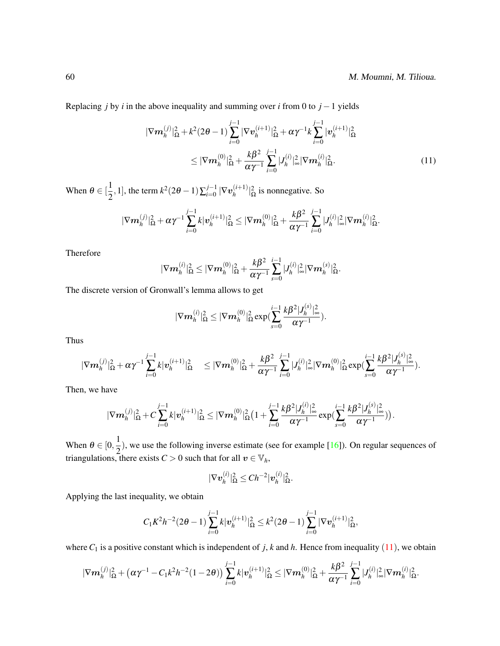Replacing *j* by *i* in the above inequality and summing over *i* from 0 to  $j - 1$  yields

<span id="page-7-0"></span>
$$
|\nabla m_h^{(j)}|_{\Omega}^2 + k^2 (2\theta - 1) \sum_{i=0}^{j-1} |\nabla v_h^{(i+1)}|_{\Omega}^2 + \alpha \gamma^{-1} k \sum_{i=0}^{j-1} |v_h^{(i+1)}|_{\Omega}^2
$$
  
 
$$
\leq |\nabla m_h^{(0)}|_{\Omega}^2 + \frac{k\beta^2}{\alpha \gamma^{-1}} \sum_{i=0}^{j-1} |J_h^{(i)}|_{\infty}^2 |\nabla m_h^{(i)}|_{\Omega}^2.
$$
 (11)

When  $\theta \in [\frac{1}{2}]$  $\frac{1}{2}$ , 1], the term  $k^2(2\theta - 1)\sum_{i=0}^{j-1}$  $_{i=0}^{j-1}$   $|\nabla \boldsymbol{v}_h^{(i+1)}|$  $\binom{(i+1)}{h}$  <sup>2</sup>/<sub>2</sub> is nonnegative. So

$$
|\nabla {\bm m}_h^{(j)}|_{\Omega}^2 + \alpha \gamma^{-1} \sum_{i=0}^{j-1} k |\bm v_h^{(i+1)}|_{\Omega}^2 \leq |\nabla {\bm m}_h^{(0)}|_{\Omega}^2 + \frac{k \beta^2}{\alpha \gamma^{-1}} \sum_{i=0}^{j-1} |J_h^{(i)}|_\infty^2 |\nabla {\bm m}_h^{(i)}|_{\Omega}^2.
$$

Therefore

$$
|\nabla {\bm m}_h^{(i)}|_\Omega^2 \leq |\nabla {\bm m}_h^{(0)}|_\Omega^2 + \frac{k \pmb \beta^2}{\alpha \gamma^{-1}} \sum_{s=0}^{i-1}|J_h^{(i)}|_\infty^2 |\nabla {\bm m}_h^{(s)}|_\Omega^2.
$$

The discrete version of Gronwall's lemma allows to get

$$
|\nabla {\bm m}_h^{(i)}|_{\Omega}^2 \leq |\nabla {\bm m}_h^{(0)}|_{\Omega}^2 \exp(\sum_{s=0}^{i-1} \frac{k \beta^2 |J_h^{(s)}|_{\infty}^2}{\alpha \gamma^{-1}}).
$$

Thus

$$
|\nabla {\bm m}_h^{(j)}|_{\Omega}^2 + \alpha\gamma^{-1}\sum_{i=0}^{j-1}k|{\bm v}_h^{(i+1)}|_{\Omega}^2 \quad \leq |\nabla {\bm m}_h^{(0)}|_{\Omega}^2 + \frac{k\beta^2}{\alpha\gamma^{-1}}\sum_{i=0}^{j-1}|J_h^{(i)}|_{\infty}^2|\nabla {\bm m}_h^{(0)}|_{\Omega}^2\exp(\sum_{s=0}^{i-1}\frac{k\beta^2|J_h^{(s)}|_{\infty}^2}{\alpha\gamma^{-1}}).
$$

Then, we have

$$
|\nabla m^{(j)}_h|^2_{\Omega} + C \sum_{i=0}^{j-1} k |\boldsymbol{v}_h^{(i+1)}|^2_{\Omega} \leq |\nabla m^{(0)}_h|^2_{\Omega} \big(1 + \sum_{i=0}^{j-1} \frac{k \beta^2 |J_h^{(i)}|^2_{\infty}}{\alpha \gamma^{-1}} \exp \big( \sum_{s=0}^{i-1} \frac{k \beta^2 |J_h^{(s)}|^2_{\infty}}{\alpha \gamma^{-1}} \big) \big).
$$

When  $\theta \in [0, \frac{1}{2})$  $\frac{1}{2}$ ), we use the following inverse estimate (see for example [\[16\]](#page-15-12)). On regular sequences of triangulations, there exists  $C > 0$  such that for all  $v \in V_h$ ,

$$
|\nabla \boldsymbol{v}_h^{(i)}|_{\Omega}^2 \leq Ch^{-2} |\boldsymbol{v}_h^{(i)}|_{\Omega}^2.
$$

Applying the last inequality, we obtain

$$
C_1K^2h^{-2}(2\theta-1)\sum_{i=0}^{j-1}k|\mathbf{v}_h^{(i+1)}|_{\Omega}^2 \leq k^2(2\theta-1)\sum_{i=0}^{j-1}|\nabla \mathbf{v}_h^{(i+1)}|_{\Omega}^2,
$$

where  $C_1$  is a positive constant which is independent of *j*, *k* and *h*. Hence from inequality ([11](#page-7-0)), we obtain

$$
|\nabla m^{(j)}_h|^2_{\Omega}+ \big(\alpha\gamma^{-1}-C_1k^2h^{-2}(1-2\theta)\big)\sum_{i=0}^{j-1}k|\bm{v}^{(i+1)}_h|^2_{\Omega}\leq |\nabla \bm{m}^{(0)}_h|^2_{\Omega}+\frac{k\beta^2}{\alpha\gamma^{-1}}\sum_{i=0}^{j-1}|J^{(i)}_h|^2_{\infty}|\nabla \bm{m}^{(i)}_h|^2_{\Omega}.
$$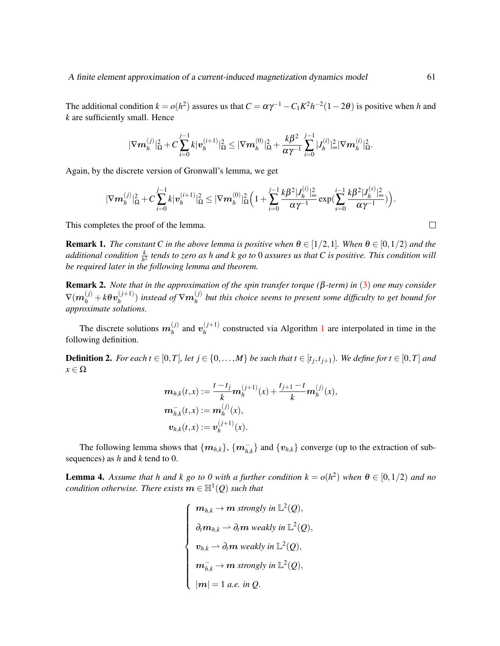The additional condition  $k = o(h^2)$  assures us that  $C = \alpha \gamma^{-1} - C_1 K^2 h^{-2} (1 - 2\theta)$  is positive when *h* and *k* are sufficiently small. Hence

$$
|\nabla m^{(j)}_h|_{\Omega}^2 + C \sum_{i=0}^{j-1} k |\boldsymbol{v}_h^{(i+1)}|_{\Omega}^2 \leq |\nabla m^{(0)}_h|_{\Omega}^2 + \frac{k \beta^2}{\alpha \gamma^{-1}} \sum_{i=0}^{j-1} |J_h^{(i)}|_\infty^2 |\nabla m^{(i)}_h|_{\Omega}^2.
$$

Again, by the discrete version of Gronwall's lemma, we get

$$
|\nabla m^{(j)}_h|^2_{\Omega} + C \sum_{i=0}^{j-1} k |\bm v^{(i+1)}_h|^2_{\Omega} \leq |\nabla \bm m^{(0)}_h|^2_{\Omega} \Big(1 + \sum_{i=0}^{j-1} \frac{k \beta^2 |J^{(i)}_h|^2_{\infty} }{\alpha \gamma^{-1}} \exp( \sum_{s=0}^{i-1} \frac{k \beta^2 |J^{(s)}_h|^2_{\infty} }{\alpha \gamma^{-1}} ) \Big).
$$

This completes the proof of the lemma.

**Remark 1.** *The constant C in the above lemma is positive when*  $\theta \in [1/2,1]$ *. When*  $\theta \in [0,1/2)$  *and the* additional condition  $\frac{k}{h^2}$  tends to zero as h and k go to  $0$  assures us that C is positive. This condition will *be required later in the following lemma and theorem.*

Remark 2. *Note that in the approximation of the spin transfer torque (*β*-term) in* ([3](#page-4-1)) *one may consider*  $\nabla(\bm{m}_h^{(j)}+k\bm{\theta}\bm{v}_h^{(j+1)})$  $\binom{(j+1)}{h}$  instead of  $\nabla m_h^{(j)}$ *h but this choice seems to present some difficulty to get bound for approximate solutions.*

The discrete solutions  $m_h^{(j)}$  $\boldsymbol{v}_h^{(j)}$  and  $\boldsymbol{v}_h^{(j+1)}$  $h_h^{(J+1)}$  $h_h^{(J+1)}$  $h_h^{(J+1)}$  constructed via Algorithm 1 are interpolated in time in the following definition.

**Definition 2.** For each  $t \in [0, T]$ , let  $j \in \{0, \ldots, M\}$  be such that  $t \in [t_j, t_{j+1})$ . We define for  $t \in [0, T]$  and  $x \in \Omega$ 

$$
m_{h,k}(t,x) := \frac{t-t_j}{k} m_h^{(j+1)}(x) + \frac{t_{j+1} - t}{k} m_h^{(j)}(x),
$$
  

$$
m_{h,k}^-(t,x) := m_h^{(j)}(x),
$$
  

$$
v_{h,k}(t,x) := v_h^{(j+1)}(x).
$$

The following lemma shows that  $\{m_{h,k}\}, \{m_{h,k}^-\}$  and  $\{v_{h,k}\}$  converge (up to the extraction of subsequences) as *h* and *k* tend to 0.

<span id="page-8-0"></span>**Lemma 4.** Assume that h and k go to 0 with a further condition  $k = o(h^2)$  when  $\theta \in [0, 1/2)$  and no  $condition\ otherwise.$  There exists  $\boldsymbol{m}\in\mathbb{H}^{1}(Q)$  such that

> $\sqrt{ }$  $\begin{array}{c} \hline \end{array}$  $\begin{array}{|c|c|} \hline \rule{0pt}{12pt} \rule{0pt}{2pt} \rule{0pt}{2pt} \rule{0pt}{2pt} \rule{0pt}{2pt} \rule{0pt}{2pt} \rule{0pt}{2pt} \rule{0pt}{2pt} \rule{0pt}{2pt} \rule{0pt}{2pt} \rule{0pt}{2pt} \rule{0pt}{2pt} \rule{0pt}{2pt} \rule{0pt}{2pt} \rule{0pt}{2pt} \rule{0pt}{2pt} \rule{0pt}{2pt} \rule{0pt}{2pt} \rule{0pt}{2pt} \rule{0pt}{2pt} \rule{0pt}{2pt} \rule{0pt}{2pt} \rule{0pt}{2$  $m_{h,k} \to m$  strongly in  $\mathbb{L}^2(Q)$ ,  $\partial_t m_{h,k} \rightharpoonup \partial_t m$  weakly in  $\mathbb{L}^2(Q),$  $v_{h,k} \rightharpoonup \partial_t m$  weakly in  $\mathbb{L}^2(Q)$ ,  $\boldsymbol{m}_{h,k}^-\to \boldsymbol{m}$  strongly in  $\mathbb{L}^2(\mathcal{Q}),$  $|m| = 1$  *a.e. in Q.*

 $\Box$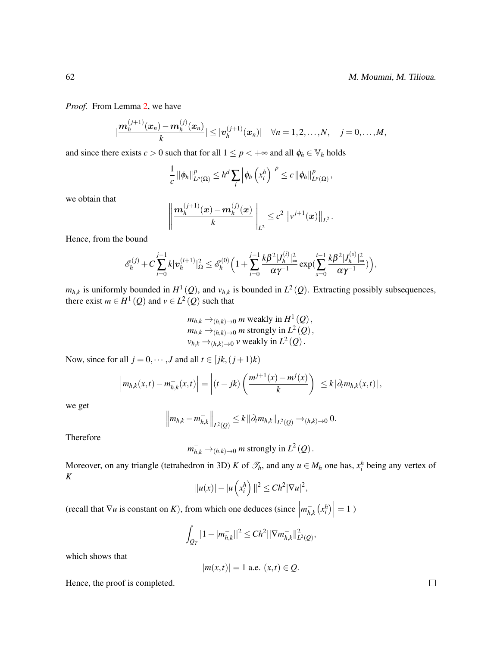*Proof.* From Lemma [2,](#page-5-5) we have

$$
|\frac{\mathbf{m}_{h}^{(j+1)}(\bm{x}_{n})-\mathbf{m}_{h}^{(j)}(\bm{x}_{n})}{k}| \leq |\bm{v}_{h}^{(j+1)}(\bm{x}_{n})| \quad \forall n = 1, 2, ..., N, \quad j = 0, ..., M,
$$

and since there exists  $c > 0$  such that for all  $1 \le p < +\infty$  and all  $\phi_h \in \mathbb{V}_h$  holds

$$
\frac{1}{c} \left\| \phi_h \right\|_{L^p(\Omega)}^p \leq h^d \sum_i \left| \phi_h \left( x_i^h \right) \right|^p \leq c \left\| \phi_h \right\|_{L^p(\Omega)}^p,
$$

we obtain that

$$
\left\|\frac{\mathbf{m}_h^{(j+1)}(\mathbf{x})-\mathbf{m}_h^{(j)}(\mathbf{x})}{k}\right\|_{L^2}\leq c^2\left\|\nu^{j+1}(\mathbf{x})\right\|_{L^2}.
$$

Hence, from the bound

$$
\mathscr{E}_h^{(j)}+C\sum_{i=0}^{j-1}k|\textbf{v}_h^{(i+1)}|_{\Omega}^2\leq \mathscr{E}_h^{(0)}\Big(1+\sum_{i=0}^{j-1}\frac{k\beta^2|J_h^{(i)}|_\infty^2}{\alpha\gamma^{-1}}\exp(\sum_{s=0}^{i-1}\frac{k\beta^2|J_h^{(s)}|_\infty^2}{\alpha\gamma^{-1}})\Big),
$$

 $m_{h,k}$  is uniformly bounded in  $H^1(Q)$ , and  $v_{h,k}$  is bounded in  $L^2(Q)$ . Extracting possibly subsequences, there exist  $m \in H^1(Q)$  and  $v \in L^2(Q)$  such that

$$
m_{h,k} \rightarrow_{(h,k)\to 0} m
$$
 weakly in  $H^1(Q)$ ,  
\n
$$
m_{h,k} \rightarrow_{(h,k)\to 0} m
$$
 strongly in  $L^2(Q)$ ,  
\n
$$
v_{h,k} \rightarrow_{(h,k)\to 0} v
$$
 weakly in  $L^2(Q)$ .

Now, since for all *j* = 0,  $\cdots$  *, J* and all *t*  $\in$  [*jk*, (*j* + 1)*k*)

$$
\left|m_{h,k}(x,t)-m_{h,k}^-(x,t)\right|=\left|(t-jk)\left(\frac{m^{j+1}(x)-m^j(x)}{k}\right)\right|\leq k\left|\partial_t m_{h,k}(x,t)\right|,
$$

we get

$$
\left\|m_{h,k}-m_{h,k}^{-}\right\|_{L^{2}(Q)} \leq k \left\|\partial_{t}m_{h,k}\right\|_{L^{2}(Q)} \to_{(h,k)\to 0} 0.
$$

Therefore

$$
m_{h,k}^- \rightarrow_{(h,k)\to 0} m
$$
 strongly in  $L^2(Q)$ .

Moreover, on any triangle (tetrahedron in 3D) *K* of  $\mathcal{I}_h$ , and any  $u \in M_h$  one has,  $x_i^h$  being any vertex of *K*

$$
||u(x)| - |u\left(x_i^h\right)||^2 \leq Ch^2 |\nabla u|^2,
$$

(recall that  $\nabla u$  is constant on *K*), from which one deduces (since  $\vert$  $m_{h,k}^{-}(x_i^h)$  = 1)

$$
\int_{Q_T} |1-|m_{h,k}^-||^2 \leq Ch^2 ||\nabla m_{h,k}^-||^2_{L^2(Q)},
$$

which shows that

$$
|m(x,t)| = 1
$$
 a.e.  $(x,t) \in Q$ .

Hence, the proof is completed.

 $\Box$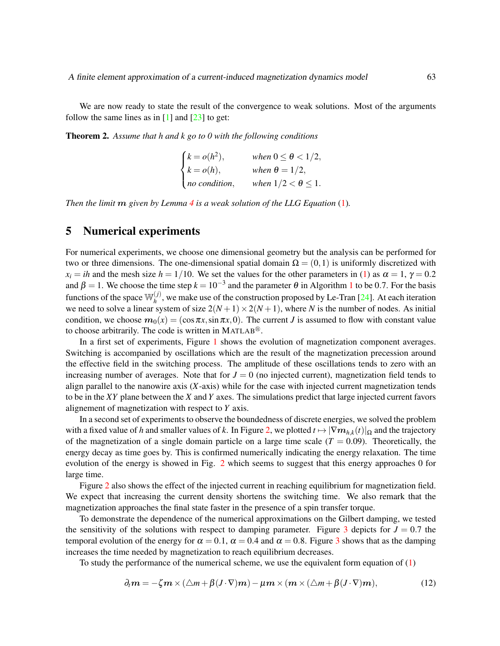We are now ready to state the result of the convergence to weak solutions. Most of the arguments follow the same lines as in  $\lceil 1 \rceil$  and  $\lceil 23 \rceil$  to get:

Theorem 2. *Assume that h and k go to 0 with the following conditions*

$$
\begin{cases}\nk = o(h^2), & \text{when } 0 \le \theta < 1/2, \\
k = o(h), & \text{when } \theta = 1/2, \\
no condition, & \text{when } 1/2 < \theta \le 1.\n\end{cases}
$$

*Then the limit* m *given by Lemma [4](#page-8-0) is a weak solution of the LLG Equation* [\(1\)](#page-1-0)*.*

## <span id="page-10-0"></span>5 Numerical experiments

For numerical experiments, we choose one dimensional geometry but the analysis can be performed for two or three dimensions. The one-dimensional spatial domain  $\Omega = (0,1)$  is uniformly discretized with  $x_i = ih$  and the mesh size  $h = 1/10$ . We set the values for the other parameters in [\(1\)](#page-1-0) as  $\alpha = 1$ ,  $\gamma = 0.2$ and  $\beta = 1$  $\beta = 1$ . We choose the time step  $k = 10^{-3}$  and the parameter  $\theta$  in Algorithm 1 to be 0.7. For the basis functions of the space  $\mathbb{W}_{h}^{(j)}$  $h_h^{(1)}$ , we make use of the construction proposed by Le-Tran [\[24\]](#page-15-11). At each iteration we need to solve a linear system of size  $2(N+1) \times 2(N+1)$ , where *N* is the number of nodes. As initial condition, we choose  $m_0(x) = (\cos \pi x, \sin \pi x, 0)$ . The current *J* is assumed to flow with constant value to choose arbitrarily. The code is written in MATLAB<sup>®</sup>.

In a first set of experiments, Figure [1](#page-11-0) shows the evolution of magnetization component averages. Switching is accompanied by oscillations which are the result of the magnetization precession around the effective field in the switching process. The amplitude of these oscillations tends to zero with an increasing number of averages. Note that for  $J = 0$  (no injected current), magnetization field tends to align parallel to the nanowire axis  $(X$ -axis) while for the case with injected current magnetization tends to be in the *XY* plane between the *X* and *Y* axes. The simulations predict that large injected current favors alignement of magnetization with respect to *Y* axis.

In a second set of experiments to observe the boundedness of discrete energies, we solved the problem with a fixed value of *h* and smaller values of *k*. In Figure [2,](#page-11-1) we plotted  $t \mapsto |\nabla m_{h,k}(t)|_{\Omega}$  and the trajectory of the magnetization of a single domain particle on a large time scale  $(T = 0.09)$ . Theoretically, the energy decay as time goes by. This is confirmed numerically indicating the energy relaxation. The time evolution of the energy is showed in Fig. [2](#page-11-1) which seems to suggest that this energy approaches 0 for large time.

Figure [2](#page-11-1) also shows the effect of the injected current in reaching equilibrium for magnetization field. We expect that increasing the current density shortens the switching time. We also remark that the magnetization approaches the final state faster in the presence of a spin transfer torque.

To demonstrate the dependence of the numerical approximations on the Gilbert damping, we tested the sensitivity of the solutions with respect to damping parameter. Figure [3](#page-12-0) depicts for  $J = 0.7$  the temporal evolution of the energy for  $\alpha = 0.1$ ,  $\alpha = 0.4$  and  $\alpha = 0.8$ . Figure [3](#page-12-0) shows that as the damping increases the time needed by magnetization to reach equilibrium decreases.

To study the performance of the numerical scheme, we use the equivalent form equation of  $(1)$ 

<span id="page-10-1"></span>
$$
\partial_t \mathbf{m} = -\zeta \mathbf{m} \times (\triangle m + \beta (J \cdot \nabla) \mathbf{m}) - \mu \mathbf{m} \times (\mathbf{m} \times (\triangle m + \beta (J \cdot \nabla) \mathbf{m}), \tag{12}
$$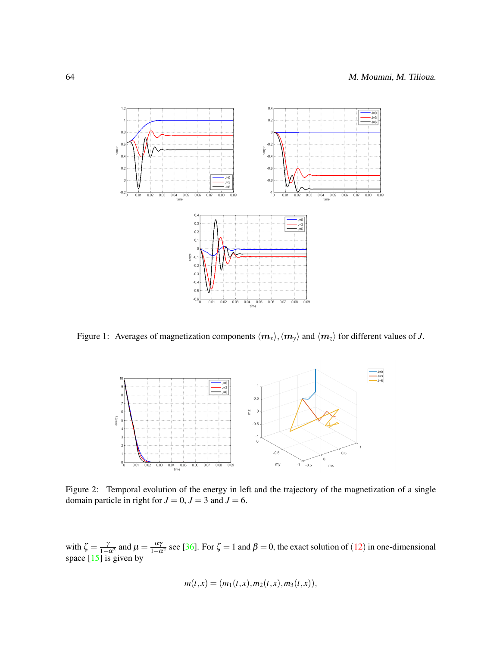

<span id="page-11-0"></span>Figure 1: Averages of magnetization components  $\langle m_x \rangle$ ,  $\langle m_y \rangle$  and  $\langle m_z \rangle$  for different values of *J*.



<span id="page-11-1"></span>Figure 2: Temporal evolution of the energy in left and the trajectory of the magnetization of a single domain particle in right for  $J = 0$ ,  $J = 3$  and  $J = 6$ .

with  $\zeta = \frac{\gamma}{1-\alpha^2}$  and  $\mu = \frac{\alpha\gamma}{1-\alpha^2}$  see [\[36\]](#page-16-6). For  $\zeta = 1$  and  $\beta = 0$ , the exact solution of ([12](#page-10-1)) in one-dimensional space [\[15\]](#page-15-13) is given by

$$
m(t,x) = (m_1(t,x), m_2(t,x), m_3(t,x)),
$$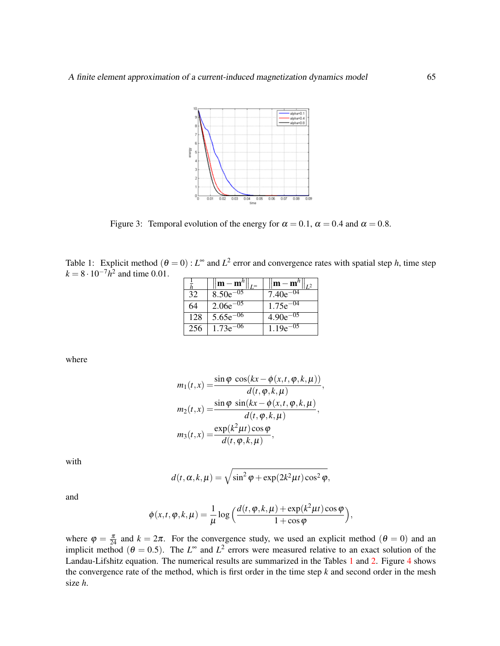

<span id="page-12-0"></span>Figure 3: Temporal evolution of the energy for  $\alpha = 0.1$ ,  $\alpha = 0.4$  and  $\alpha = 0.8$ .

<span id="page-12-1"></span>Table 1: Explicit method  $(\theta = 0)$ :  $L^{\infty}$  and  $L^2$  error and convergence rates with spatial step *h*, time step  $k = 8 \cdot 10^{-7} h^2$  and time 0.01.

|     | $ \mathbf{m}-\mathbf{m}^{\prime\prime} $ | $\left\Vert \mathbf{m}-\mathbf{m}^{\prime\prime}\right\Vert$ |
|-----|------------------------------------------|--------------------------------------------------------------|
| 32  | $8.50e^{-05}$                            | $7.40e^{-04}$                                                |
| 64  | $2.06e^{-0.5}$                           | $1.75e^{-04}$                                                |
| 128 | $5.65e^{-06}$                            | $4.90e^{-05}$                                                |
| 256 | $1.73e^{-06}$                            | $1.19e^{-0.5}$                                               |

where

$$
m_1(t,x) = \frac{\sin \varphi \cos(kx - \varphi(x,t,\varphi,k,\mu))}{d(t,\varphi,k,\mu)}
$$

$$
m_2(t,x) = \frac{\sin \varphi \sin(kx - \varphi(x,t,\varphi,k,\mu))}{d(t,\varphi,k,\mu)},
$$

$$
m_3(t,x) = \frac{\exp(k^2\mu t)\cos\varphi}{d(t,\varphi,k,\mu)},
$$

,

with

$$
d(t, \alpha, k, \mu) = \sqrt{\sin^2 \varphi + \exp(2k^2 \mu t) \cos^2 \varphi},
$$

and

$$
\phi(x,t,\varphi,k,\mu) = \frac{1}{\mu} \log \left( \frac{d(t,\varphi,k,\mu) + \exp(k^2 \mu t) \cos \varphi}{1 + \cos \varphi} \right),\,
$$

where  $\varphi = \frac{\pi}{24}$  and  $k = 2\pi$ . For the convergence study, we used an explicit method  $(\theta = 0)$  and an implicit method ( $\theta = 0.5$ ). The  $L^{\infty}$  and  $L^2$  errors were measured relative to an exact solution of the Landau-Lifshitz equation. The numerical results are summarized in the Tables [1](#page-12-1) and [2.](#page-13-0) Figure [4](#page-13-1) shows the convergence rate of the method, which is first order in the time step *k* and second order in the mesh size *h*.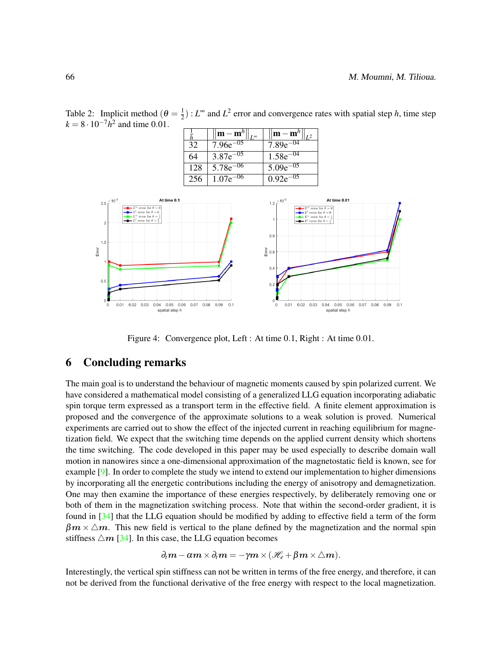1 Π  $\|\mathbf{m} - \mathbf{m}^h\|$  $\mathbb T$ m  $\frac{-m^h}{5e^{-0.5}}$  $\frac{\bar{h}}{32}$  $\mathbb{I}$  $\mathbb{I}$ *L* ∞ *L* 2  $7.96e^{-05}$  7.89e  $\overline{64}$  3.87e<sup>-05</sup> 1.58e<sup>-04</sup>  $128$  5.78e<sup>-06</sup> 5.09e<sup>-05</sup>  $256$  1.07e<sup>-06</sup> 0.92e<sup>-05</sup> At time 0.01 At time  $0.1$  $1.2$ ror for t  $L^2$  error for  $\theta$  $0.8$  $\frac{5}{10}$  0.6  $0.4$ 

<span id="page-13-0"></span>Table 2: Implicit method ( $\theta = \frac{1}{2}$  $\frac{1}{2}$ ) :  $L^{\infty}$  and  $L^2$  error and convergence rates with spatial step *h*, time step  $k = 8 \cdot 10^{-7} h^2$  and time 0.01.



 $0.2$ 

 $\theta$ 

 $0.01$ 

 $0.02$   $0.03$   $0.04$   $0.05$   $0.06$ 

spatial step h

 $0.07$  0.08 0.09

 $0.1$ 

## 6 Concluding remarks

 $0.01$ 

 $0.02$   $0.03$   $0.04$   $0.05$   $0.06$ 

<span id="page-13-1"></span>spatial step h

 $0.07$  0.08 0.09

 $0.1$ 

The main goal is to understand the behaviour of magnetic moments caused by spin polarized current. We have considered a mathematical model consisting of a generalized LLG equation incorporating adiabatic spin torque term expressed as a transport term in the effective field. A finite element approximation is proposed and the convergence of the approximate solutions to a weak solution is proved. Numerical experiments are carried out to show the effect of the injected current in reaching equilibrium for magnetization field. We expect that the switching time depends on the applied current density which shortens the time switching. The code developed in this paper may be used especially to describe domain wall motion in nanowires since a one-dimensional approximation of the magnetostatic field is known, see for example  $[9]$ . In order to complete the study we intend to extend our implementation to higher dimensions by incorporating all the energetic contributions including the energy of anisotropy and demagnetization. One may then examine the importance of these energies respectively, by deliberately removing one or both of them in the magnetization switching process. Note that within the second-order gradient, it is found in [\[34\]](#page-16-7) that the LLG equation should be modified by adding to effective field a term of the form  $\beta m \times \Delta m$ . This new field is vertical to the plane defined by the magnetization and the normal spin stiffness  $\triangle m$  [\[34\]](#page-16-7). In this case, the LLG equation becomes

$$
\partial_t \mathbf{m} - \alpha \mathbf{m} \times \partial_t \mathbf{m} = -\gamma \mathbf{m} \times (\mathcal{H}_e + \beta \mathbf{m} \times \triangle \mathbf{m}).
$$

Interestingly, the vertical spin stiffness can not be written in terms of the free energy, and therefore, it can not be derived from the functional derivative of the free energy with respect to the local magnetization.

 $2.5$ 

Error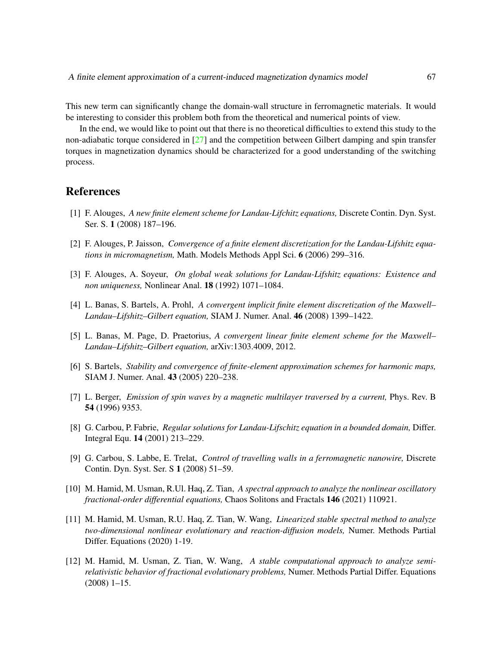This new term can significantly change the domain-wall structure in ferromagnetic materials. It would be interesting to consider this problem both from the theoretical and numerical points of view.

In the end, we would like to point out that there is no theoretical difficulties to extend this study to the non-adiabatic torque considered in [\[27\]](#page-15-1) and the competition between Gilbert damping and spin transfer torques in magnetization dynamics should be characterized for a good understanding of the switching process.

## References

- <span id="page-14-6"></span>[1] F. Alouges, *A new finite element scheme for Landau-Lifchitz equations,* Discrete Contin. Dyn. Syst. Ser. S. 1 (2008) 187–196.
- <span id="page-14-5"></span>[2] F. Alouges, P. Jaisson, *Convergence of a finite element discretization for the Landau-Lifshitz equations in micromagnetism,* Math. Models Methods Appl Sci. 6 (2006) 299–316.
- <span id="page-14-2"></span>[3] F. Alouges, A. Soyeur, *On global weak solutions for Landau-Lifshitz equations: Existence and non uniqueness,* Nonlinear Anal. 18 (1992) 1071–1084.
- <span id="page-14-4"></span>[4] L. Banas, S. Bartels, A. Prohl, *A convergent implicit finite element discretization of the Maxwell– Landau–Lifshitz–Gilbert equation,* SIAM J. Numer. Anal. 46 (2008) 1399–1422.
- <span id="page-14-7"></span>[5] L. Banas, M. Page, D. Praetorius, *A convergent linear finite element scheme for the Maxwell– Landau–Lifshitz–Gilbert equation,* arXiv:1303.4009, 2012.
- <span id="page-14-8"></span>[6] S. Bartels, *Stability and convergence of finite-element approximation schemes for harmonic maps,* SIAM J. Numer. Anal. 43 (2005) 220–238.
- <span id="page-14-0"></span>[7] L. Berger, *Emission of spin waves by a magnetic multilayer traversed by a current,* Phys. Rev. B 54 (1996) 9353.
- <span id="page-14-1"></span>[8] G. Carbou, P. Fabrie, *Regular solutions for Landau-Lifschitz equation in a bounded domain,* Differ. Integral Equ. 14 (2001) 213–229.
- <span id="page-14-9"></span>[9] G. Carbou, S. Labbe, E. Trelat, *Control of travelling walls in a ferromagnetic nanowire,* Discrete Contin. Dyn. Syst. Ser. S 1 (2008) 51–59.
- <span id="page-14-3"></span>[10] M. Hamid, M. Usman, R.Ul. Haq, Z. Tian, *A spectral approach to analyze the nonlinear oscillatory fractional-order differential equations,* Chaos Solitons and Fractals 146 (2021) 110921.
- [11] M. Hamid, M. Usman, R.U. Haq, Z. Tian, W. Wang, *Linearized stable spectral method to analyze two-dimensional nonlinear evolutionary and reaction-diffusion models,* Numer. Methods Partial Differ. Equations (2020) 1-19.
- [12] M. Hamid, M. Usman, Z. Tian, W. Wang, *A stable computational approach to analyze semirelativistic behavior of fractional evolutionary problems,* Numer. Methods Partial Differ. Equations (2008) 1–15.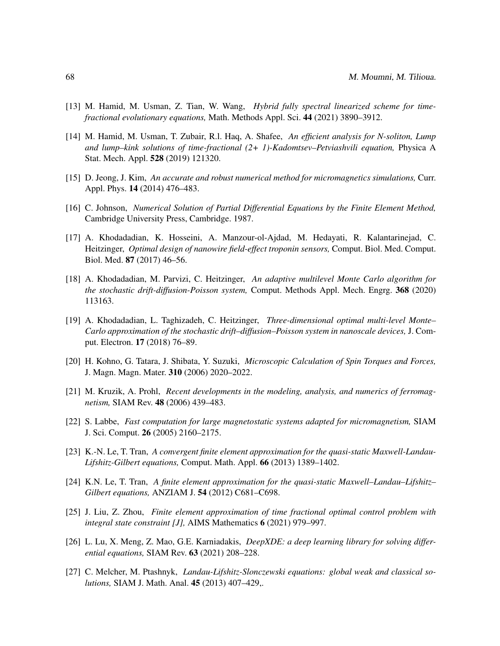- <span id="page-15-3"></span>[13] M. Hamid, M. Usman, Z. Tian, W. Wang, *Hybrid fully spectral linearized scheme for timefractional evolutionary equations,* Math. Methods Appl. Sci. 44 (2021) 3890–3912.
- <span id="page-15-4"></span>[14] M. Hamid, M. Usman, T. Zubair, R.l. Haq, A. Shafee, *An efficient analysis for N-soliton, Lump and lump–kink solutions of time-fractional (2+ 1)-Kadomtsev–Petviashvili equation,* Physica A Stat. Mech. Appl. 528 (2019) 121320.
- <span id="page-15-13"></span>[15] D. Jeong, J. Kim, *An accurate and robust numerical method for micromagnetics simulations,* Curr. Appl. Phys. 14 (2014) 476–483.
- <span id="page-15-12"></span>[16] C. Johnson, *Numerical Solution of Partial Differential Equations by the Finite Element Method,* Cambridge University Press, Cambridge. 1987.
- <span id="page-15-5"></span>[17] A. Khodadadian, K. Hosseini, A. Manzour-ol-Ajdad, M. Hedayati, R. Kalantarinejad, C. Heitzinger, *Optimal design of nanowire field-effect troponin sensors,* Comput. Biol. Med. Comput. Biol. Med. 87 (2017) 46–56.
- [18] A. Khodadadian, M. Parvizi, C. Heitzinger, *An adaptive multilevel Monte Carlo algorithm for the stochastic drift-diffusion-Poisson system,* Comput. Methods Appl. Mech. Engrg. 368 (2020) 113163.
- <span id="page-15-6"></span>[19] A. Khodadadian, L. Taghizadeh, C. Heitzinger, *Three-dimensional optimal multi-level Monte– Carlo approximation of the stochastic drift–diffusion–Poisson system in nanoscale devices,* J. Comput. Electron. 17 (2018) 76–89.
- <span id="page-15-0"></span>[20] H. Kohno, G. Tatara, J. Shibata, Y. Suzuki, *Microscopic Calculation of Spin Torques and Forces,* J. Magn. Magn. Mater. 310 (2006) 2020–2022.
- <span id="page-15-9"></span>[21] M. Kruzik, A. Prohl, *Recent developments in the modeling, analysis, and numerics of ferromagnetism,* SIAM Rev. 48 (2006) 439–483.
- <span id="page-15-2"></span>[22] S. Labbe, *Fast computation for large magnetostatic systems adapted for micromagnetism,* SIAM J. Sci. Comput. 26 (2005) 2160–2175.
- <span id="page-15-10"></span>[23] K.-N. Le, T. Tran, *A convergent finite element approximation for the quasi-static Maxwell-Landau-Lifshitz-Gilbert equations,* Comput. Math. Appl. 66 (2013) 1389–1402.
- <span id="page-15-11"></span>[24] K.N. Le, T. Tran, *A finite element approximation for the quasi-static Maxwell–Landau–Lifshitz– Gilbert equations,* ANZIAM J. 54 (2012) C681–C698.
- <span id="page-15-7"></span>[25] J. Liu, Z. Zhou, *Finite element approximation of time fractional optimal control problem with integral state constraint [J],* AIMS Mathematics 6 (2021) 979–997.
- <span id="page-15-8"></span>[26] L. Lu, X. Meng, Z. Mao, G.E. Karniadakis, *DeepXDE: a deep learning library for solving differential equations,* SIAM Rev. 63 (2021) 208–228.
- <span id="page-15-1"></span>[27] C. Melcher, M. Ptashnyk, *Landau-Lifshitz-Slonczewski equations: global weak and classical solutions,* SIAM J. Math. Anal. 45 (2013) 407–429,.